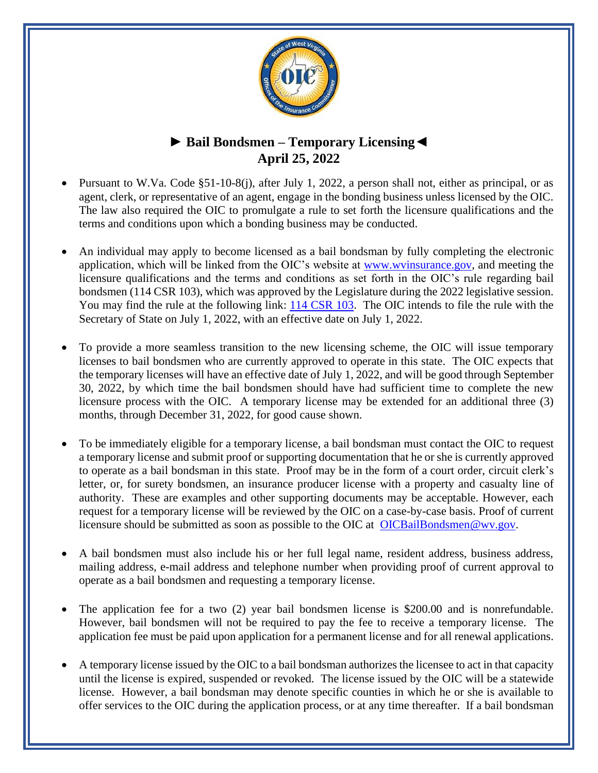

## **► Bail Bondsmen – Temporary Licensing◄ April 25, 2022**

- Pursuant to W.Va. Code §51-10-8(j), after July 1, 2022, a person shall not, either as principal, or as agent, clerk, or representative of an agent, engage in the bonding business unless licensed by the OIC. The law also required the OIC to promulgate a rule to set forth the licensure qualifications and the terms and conditions upon which a bonding business may be conducted.
- An individual may apply to become licensed as a bail bondsman by fully completing the electronic application, which will be linked from the OIC's website at [www.wvinsurance.gov,](http://www.wvinsurance.gov/) and meeting the licensure qualifications and the terms and conditions as set forth in the OIC's rule regarding bail bondsmen (114 CSR 103), which was approved by the Legislature during the 2022 legislative session. You may find the rule at the following link: [114 CSR 103.](https://www.wvinsurance.gov/Portals/0/114CSR103_Bail_Bondsmen.pdf?ver=2022-03-24-145127-983) The OIC intends to file the rule with the Secretary of State on July 1, 2022, with an effective date on July 1, 2022.
- To provide a more seamless transition to the new licensing scheme, the OIC will issue temporary licenses to bail bondsmen who are currently approved to operate in this state. The OIC expects that the temporary licenses will have an effective date of July 1, 2022, and will be good through September 30, 2022, by which time the bail bondsmen should have had sufficient time to complete the new licensure process with the OIC. A temporary license may be extended for an additional three (3) months, through December 31, 2022, for good cause shown.
- To be immediately eligible for a temporary license, a bail bondsman must contact the OIC to request a temporary license and submit proof or supporting documentation that he or she is currently approved to operate as a bail bondsman in this state. Proof may be in the form of a court order, circuit clerk's letter, or, for surety bondsmen, an insurance producer license with a property and casualty line of authority. These are examples and other supporting documents may be acceptable. However, each request for a temporary license will be reviewed by the OIC on a case-by-case basis. Proof of current licensure should be submitted as soon as possible to the OIC at [OICBailBondsmen@wv.gov.](mailto:OICBailBondsmen@wv.gov)
- A bail bondsmen must also include his or her full legal name, resident address, business address, mailing address, e-mail address and telephone number when providing proof of current approval to operate as a bail bondsmen and requesting a temporary license.
- The application fee for a two (2) year bail bondsmen license is \$200.00 and is nonrefundable. However, bail bondsmen will not be required to pay the fee to receive a temporary license. The application fee must be paid upon application for a permanent license and for all renewal applications.
- A temporary license issued by the OIC to a bail bondsman authorizes the licensee to act in that capacity until the license is expired, suspended or revoked. The license issued by the OIC will be a statewide license. However, a bail bondsman may denote specific counties in which he or she is available to offer services to the OIC during the application process, or at any time thereafter. If a bail bondsman